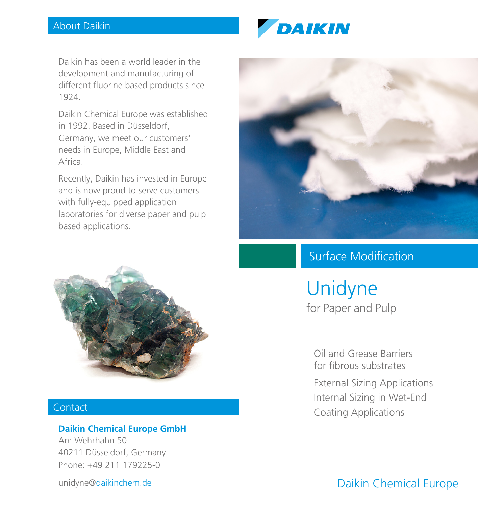# About Daikin



Daikin has been a world leader in the development and manufacturing of different fluorine based products since 1924.

Daikin Chemical Europe was established in 1992. Based in Düsseldorf, Germany, we meet our customers' needs in Europe, Middle East and Africa.

Recently, Daikin has invested in Europe and is now proud to serve customers with fully-equipped application laboratories for diverse paper and pulp based applications.



# Contact

## **Daikin Chemical Europe GmbH**

Am Wehrhahn 50 40211 Düsseldorf, Germany Phone: +49 211 179225-0

unidyne@daikinchem.de



# Surface Modification

Unidyne for Paper and Pulp

Oil and Grease Barriers for fibrous substrates External Sizing Applications Internal Sizing in Wet-End Coating Applications

Daikin Chemical Europe